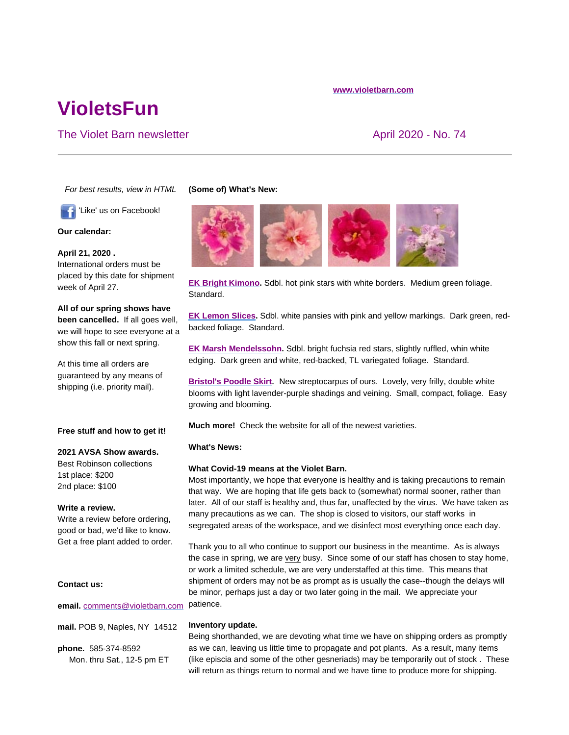#### **www.violetbarn.com**

# **VioletsFun**

# The Violet Barn newsletter April 2020 - No. 74

*For best results, view in HTML*

'Like' us on Facebook!

**Our calendar:**

**April 21, 2020 .**  International orders must be placed by this date for shipment week of April 27.

**All of our spring shows have been cancelled.** If all goes well, we will hope to see everyone at a show this fall or next spring.

At this time all orders are guaranteed by any means of shipping (i.e. priority mail).

#### **Free stuff and how to get it!**

#### **2021 AVSA Show awards.**

Best Robinson collections 1st place: \$200 2nd place: \$100

#### **Write a review.**

Write a review before ordering, good or bad, we'd like to know. Get a free plant added to order.

### **Contact us:**

**email.** comments@violetbarn.com

**mail.** POB 9, Naples, NY 14512

**phone.** 585-374-8592 Mon. thru Sat., 12-5 pm ET

#### **(Some of) What's New:**



**EK Bright Kimono.** Sdbl. hot pink stars with white borders. Medium green foliage. Standard.

**EK Lemon Slices.** Sdbl. white pansies with pink and yellow markings. Dark green, redbacked foliage. Standard.

**EK Marsh Mendelssohn.** Sdbl. bright fuchsia red stars, slightly ruffled, whin white edging. Dark green and white, red-backed, TL variegated foliage. Standard.

**Bristol's Poodle Skirt**. New streptocarpus of ours. Lovely, very frilly, double white blooms with light lavender-purple shadings and veining. Small, compact, foliage. Easy growing and blooming.

**Much more!** Check the website for all of the newest varieties.

#### **What's News:**

#### **What Covid-19 means at the Violet Barn.**

Most importantly, we hope that everyone is healthy and is taking precautions to remain that way. We are hoping that life gets back to (somewhat) normal sooner, rather than later. All of our staff is healthy and, thus far, unaffected by the virus. We have taken as many precautions as we can. The shop is closed to visitors, our staff works in segregated areas of the workspace, and we disinfect most everything once each day.

Thank you to all who continue to support our business in the meantime. As is always the case in spring, we are very busy. Since some of our staff has chosen to stay home, or work a limited schedule, we are very understaffed at this time. This means that shipment of orders may not be as prompt as is usually the case--though the delays will be minor, perhaps just a day or two later going in the mail. We appreciate your patience.

#### **Inventory update.**

Being shorthanded, we are devoting what time we have on shipping orders as promptly as we can, leaving us little time to propagate and pot plants. As a result, many items (like episcia and some of the other gesneriads) may be temporarily out of stock . These will return as things return to normal and we have time to produce more for shipping.